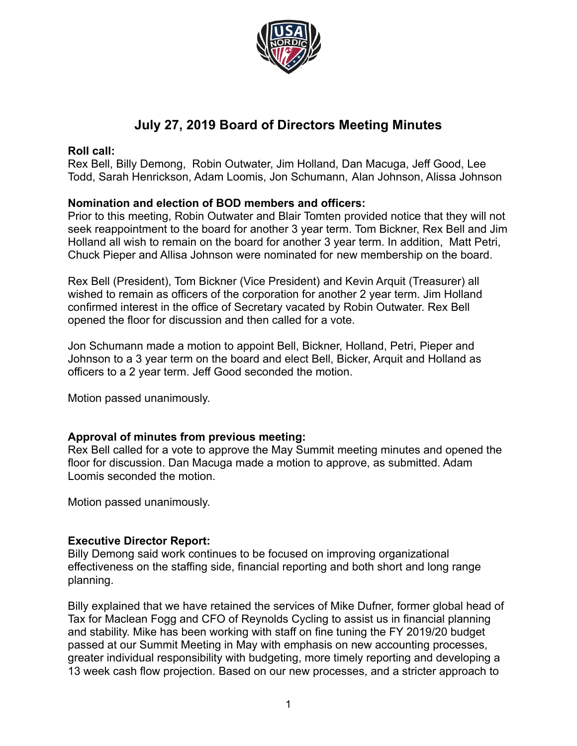

# **July 27, 2019 Board of Directors Meeting Minutes**

### **Roll call:**

Rex Bell, Billy Demong, Robin Outwater, Jim Holland, Dan Macuga, Jeff Good, Lee Todd, Sarah Henrickson, Adam Loomis, Jon Schumann, Alan Johnson, Alissa Johnson

### **Nomination and election of BOD members and officers:**

Prior to this meeting, Robin Outwater and Blair Tomten provided notice that they will not seek reappointment to the board for another 3 year term. Tom Bickner, Rex Bell and Jim Holland all wish to remain on the board for another 3 year term. In addition, Matt Petri, Chuck Pieper and Allisa Johnson were nominated for new membership on the board.

Rex Bell (President), Tom Bickner (Vice President) and Kevin Arquit (Treasurer) all wished to remain as officers of the corporation for another 2 year term. Jim Holland confirmed interest in the office of Secretary vacated by Robin Outwater. Rex Bell opened the floor for discussion and then called for a vote.

Jon Schumann made a motion to appoint Bell, Bickner, Holland, Petri, Pieper and Johnson to a 3 year term on the board and elect Bell, Bicker, Arquit and Holland as officers to a 2 year term. Jeff Good seconded the motion.

Motion passed unanimously.

### **Approval of minutes from previous meeting:**

Rex Bell called for a vote to approve the May Summit meeting minutes and opened the floor for discussion. Dan Macuga made a motion to approve, as submitted. Adam Loomis seconded the motion.

Motion passed unanimously.

### **Executive Director Report:**

Billy Demong said work continues to be focused on improving organizational effectiveness on the staffing side, financial reporting and both short and long range planning.

Billy explained that we have retained the services of Mike Dufner, former global head of Tax for Maclean Fogg and CFO of Reynolds Cycling to assist us in financial planning and stability. Mike has been working with staff on fine tuning the FY 2019/20 budget passed at our Summit Meeting in May with emphasis on new accounting processes, greater individual responsibility with budgeting, more timely reporting and developing a 13 week cash flow projection. Based on our new processes, and a stricter approach to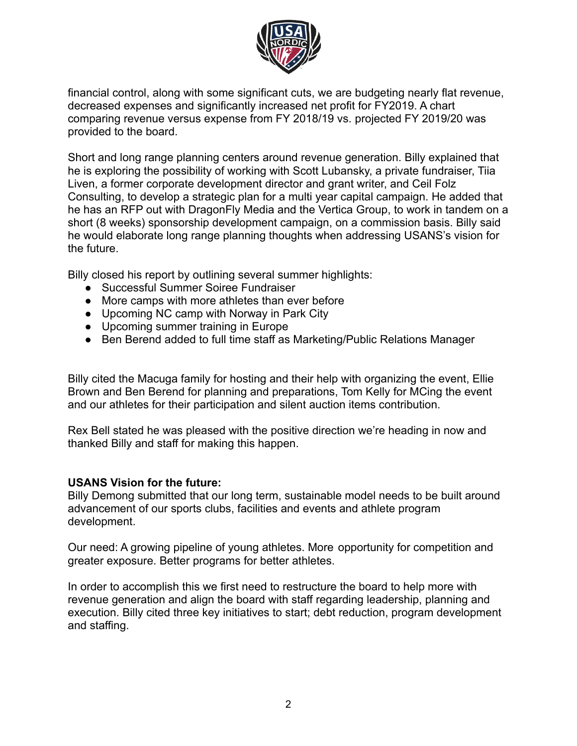

financial control, along with some significant cuts, we are budgeting nearly flat revenue, decreased expenses and significantly increased net profit for FY2019. A chart comparing revenue versus expense from FY 2018/19 vs. projected FY 2019/20 was provided to the board.

Short and long range planning centers around revenue generation. Billy explained that he is exploring the possibility of working with Scott Lubansky, a private fundraiser, Tiia Liven, a former corporate development director and grant writer, and Ceil Folz Consulting, to develop a strategic plan for a multi year capital campaign. He added that he has an RFP out with DragonFly Media and the Vertica Group, to work in tandem on a short (8 weeks) sponsorship development campaign, on a commission basis. Billy said he would elaborate long range planning thoughts when addressing USANS's vision for the future.

Billy closed his report by outlining several summer highlights:

- Successful Summer Soiree Fundraiser
- More camps with more athletes than ever before
- Upcoming NC camp with Norway in Park City
- Upcoming summer training in Europe
- Ben Berend added to full time staff as Marketing/Public Relations Manager

Billy cited the Macuga family for hosting and their help with organizing the event, Ellie Brown and Ben Berend for planning and preparations, Tom Kelly for MCing the event and our athletes for their participation and silent auction items contribution.

Rex Bell stated he was pleased with the positive direction we're heading in now and thanked Billy and staff for making this happen.

### **USANS Vision for the future:**

Billy Demong submitted that our long term, sustainable model needs to be built around advancement of our sports clubs, facilities and events and athlete program development.

Our need: A growing pipeline of young athletes. More opportunity for competition and greater exposure. Better programs for better athletes.

In order to accomplish this we first need to restructure the board to help more with revenue generation and align the board with staff regarding leadership, planning and execution. Billy cited three key initiatives to start; debt reduction, program development and staffing.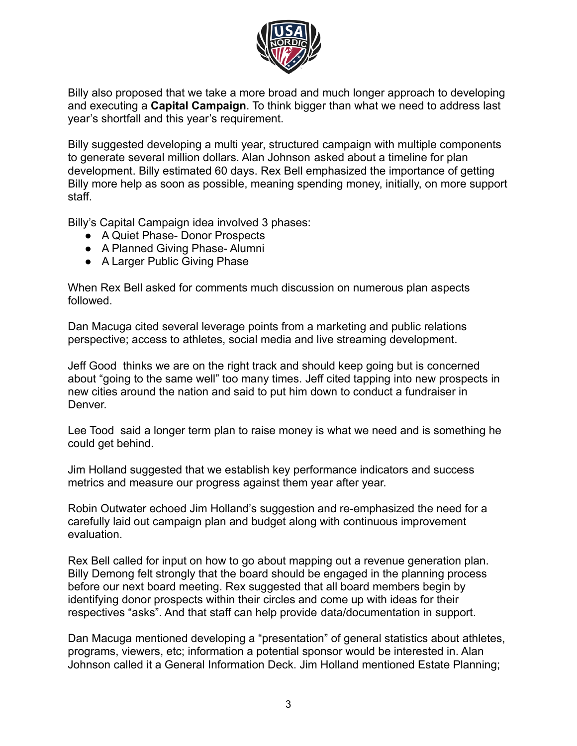

Billy also proposed that we take a more broad and much longer approach to developing and executing a **Capital Campaign**. To think bigger than what we need to address last year's shortfall and this year's requirement.

Billy suggested developing a multi year, structured campaign with multiple components to generate several million dollars. Alan Johnson asked about a timeline for plan development. Billy estimated 60 days. Rex Bell emphasized the importance of getting Billy more help as soon as possible, meaning spending money, initially, on more support staff.

Billy's Capital Campaign idea involved 3 phases:

- A Quiet Phase- Donor Prospects
- A Planned Giving Phase- Alumni
- A Larger Public Giving Phase

When Rex Bell asked for comments much discussion on numerous plan aspects followed.

Dan Macuga cited several leverage points from a marketing and public relations perspective; access to athletes, social media and live streaming development.

Jeff Good thinks we are on the right track and should keep going but is concerned about "going to the same well" too many times. Jeff cited tapping into new prospects in new cities around the nation and said to put him down to conduct a fundraiser in Denver.

Lee Tood said a longer term plan to raise money is what we need and is something he could get behind.

Jim Holland suggested that we establish key performance indicators and success metrics and measure our progress against them year after year.

Robin Outwater echoed Jim Holland's suggestion and re-emphasized the need for a carefully laid out campaign plan and budget along with continuous improvement evaluation.

Rex Bell called for input on how to go about mapping out a revenue generation plan. Billy Demong felt strongly that the board should be engaged in the planning process before our next board meeting. Rex suggested that all board members begin by identifying donor prospects within their circles and come up with ideas for their respectives "asks". And that staff can help provide data/documentation in support.

Dan Macuga mentioned developing a "presentation" of general statistics about athletes, programs, viewers, etc; information a potential sponsor would be interested in. Alan Johnson called it a General Information Deck. Jim Holland mentioned Estate Planning;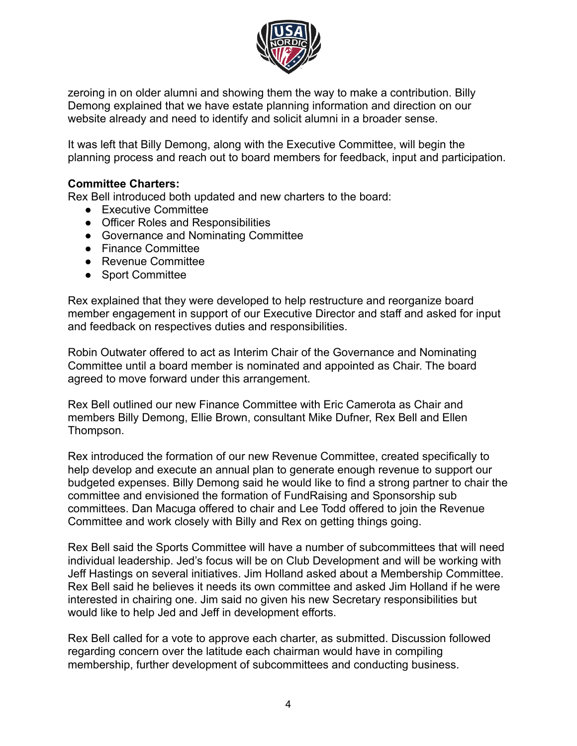

zeroing in on older alumni and showing them the way to make a contribution. Billy Demong explained that we have estate planning information and direction on our website already and need to identify and solicit alumni in a broader sense.

It was left that Billy Demong, along with the Executive Committee, will begin the planning process and reach out to board members for feedback, input and participation.

### **Committee Charters:**

Rex Bell introduced both updated and new charters to the board:

- Executive Committee
- Officer Roles and Responsibilities
- Governance and Nominating Committee
- Finance Committee
- Revenue Committee
- Sport Committee

Rex explained that they were developed to help restructure and reorganize board member engagement in support of our Executive Director and staff and asked for input and feedback on respectives duties and responsibilities.

Robin Outwater offered to act as Interim Chair of the Governance and Nominating Committee until a board member is nominated and appointed as Chair. The board agreed to move forward under this arrangement.

Rex Bell outlined our new Finance Committee with Eric Camerota as Chair and members Billy Demong, Ellie Brown, consultant Mike Dufner, Rex Bell and Ellen Thompson.

Rex introduced the formation of our new Revenue Committee, created specifically to help develop and execute an annual plan to generate enough revenue to support our budgeted expenses. Billy Demong said he would like to find a strong partner to chair the committee and envisioned the formation of FundRaising and Sponsorship sub committees. Dan Macuga offered to chair and Lee Todd offered to join the Revenue Committee and work closely with Billy and Rex on getting things going.

Rex Bell said the Sports Committee will have a number of subcommittees that will need individual leadership. Jed's focus will be on Club Development and will be working with Jeff Hastings on several initiatives. Jim Holland asked about a Membership Committee. Rex Bell said he believes it needs its own committee and asked Jim Holland if he were interested in chairing one. Jim said no given his new Secretary responsibilities but would like to help Jed and Jeff in development efforts.

Rex Bell called for a vote to approve each charter, as submitted. Discussion followed regarding concern over the latitude each chairman would have in compiling membership, further development of subcommittees and conducting business.